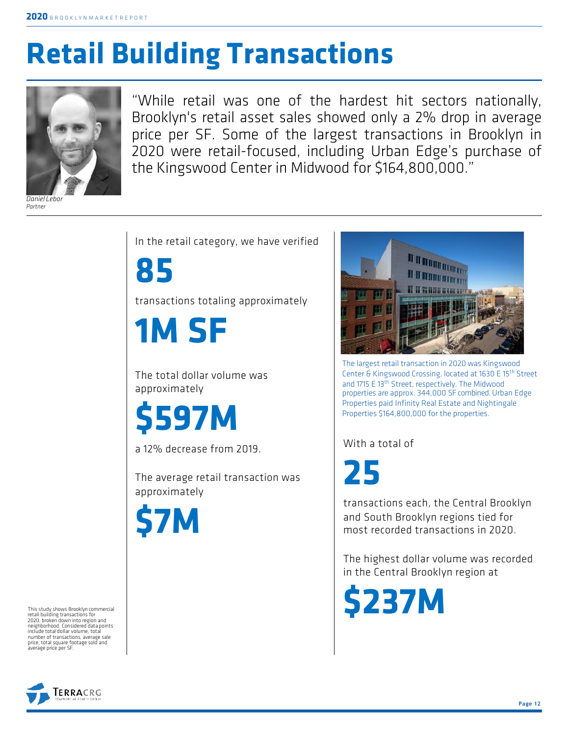## **Retail Building Transactions**



*Partner*

"While retail was one of the hardest hit sectors nationally, Brooklyn's retail asset sales showed only a 2% drop in average price per SF. Some of the largest transactions in Brooklyn in 2020 were retail-focused, including Urban Edge's purchase of the Kingswood Center in Midwood for \$164,800,000."

In the retail category, we have verified

**85**

transactions totaling approximately

**1M SF**

The total dollar volume was approximately

**\$597M**

a 12% decrease from 2019.

The average retail transaction was approximately



IT IT IN IT IT IT IT IT IT IT IT

The largest retail transaction in 2020 was Kingswood Center & Kingswood Crossing, located at 1630 E 15th Street and 1715 E 13<sup>th</sup> Street, respectively. The Midwood properties are approx. 344,000 SF combined. Urban Edge Properties paid Infinity Real Estate and Nightingale Properties \$164,800,000 for the properties.

With a total of

**25**

transactions each, the Central Brooklyn and South Brooklyn regions tied for most recorded transactions in 2020.

The highest dollar volume was recorded in the Central Brooklyn region at

**\$237M**

This study shows Brooklyn commercial retail building transactions for 2020, broken down into region and include total dollar volume, total<br>number of transactions, average sale<br>price, total square footage sold and<br>average price per SF.

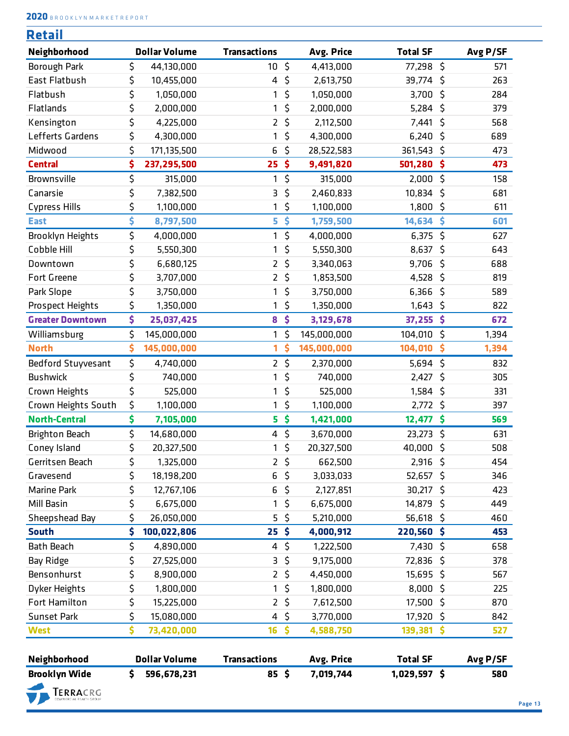**2020** <sup>B</sup> <sup>R</sup> <sup>O</sup> <sup>O</sup> <sup>K</sup> <sup>L</sup> <sup>Y</sup> <sup>N</sup> <sup>M</sup> <sup>A</sup> <sup>R</sup> <sup>K</sup> <sup>E</sup> <sup>T</sup> <sup>R</sup> <sup>E</sup> <sup>P</sup> <sup>O</sup> <sup>R</sup> <sup>T</sup>

| Retail                  |                      |                     |         |             |                 |              |          |
|-------------------------|----------------------|---------------------|---------|-------------|-----------------|--------------|----------|
| Neighborhood            | <b>Dollar Volume</b> | <b>Transactions</b> |         | Avg. Price  | <b>Total SF</b> |              | Avg P/SF |
| Borough Park            | \$<br>44,130,000     | 10                  | \$      | 4,413,000   | 77,298          | \$           | 571      |
| East Flatbush           | \$<br>10,455,000     | 4                   | \$      | 2,613,750   | 39,774          | Ŝ.           | 263      |
| Flatbush                | \$<br>1,050,000      | 1                   | \$      | 1,050,000   | 3,700           | \$           | 284      |
| Flatlands               | \$<br>2,000,000      | 1                   | \$      | 2,000,000   | 5,284           | \$           | 379      |
| Kensington              | \$<br>4,225,000      | $\overline{2}$      | \$      | 2,112,500   | 7,441           | \$           | 568      |
| Lefferts Gardens        | \$<br>4,300,000      | 1                   | \$      | 4,300,000   | 6,240           | \$           | 689      |
| Midwood                 | \$<br>171,135,500    | 6                   | \$      | 28,522,583  | 361,543         | \$           | 473      |
| <b>Central</b>          | \$<br>237, 295, 500  | 25                  | \$      | 9,491,820   | 501,280         | \$           | 473      |
| Brownsville             | \$<br>315,000        | 1                   | \$      | 315,000     | 2,000           | $\zeta$      | 158      |
| Canarsie                | \$<br>7,382,500      | 3                   | \$      | 2,460,833   | 10,834          | \$           | 681      |
| <b>Cypress Hills</b>    | \$<br>1,100,000      | 1                   | \$      | 1,100,000   | 1,800           | \$           | 611      |
| <b>East</b>             | \$<br>8,797,500      | 5                   | \$      | 1,759,500   | 14,634          | \$           | 601      |
| Brooklyn Heights        | \$<br>4,000,000      | 1                   | \$      | 4,000,000   | 6,375           | $\zeta$      | 627      |
| Cobble Hill             | \$<br>5,550,300      | 1                   | \$      | 5,550,300   | 8,637           | \$           | 643      |
| Downtown                | \$<br>6,680,125      | $\overline{2}$      | \$      | 3,340,063   | 9,706           | \$           | 688      |
| Fort Greene             | \$<br>3,707,000      | $\overline{2}$      | \$      | 1,853,500   | 4,528           | \$           | 819      |
| Park Slope              | \$<br>3,750,000      | 1                   | \$      | 3,750,000   | 6,366           | \$           | 589      |
| Prospect Heights        | \$<br>1,350,000      | 1                   | \$      | 1,350,000   | 1,643           | \$           | 822      |
| <b>Greater Downtown</b> | \$<br>25,037,425     | 8                   | \$      | 3,129,678   | 37,255 \$       |              | 672      |
| Williamsburg            | \$<br>145,000,000    | 1                   | \$      | 145,000,000 | 104,010         | $\mathsf{S}$ | 1,394    |
| <b>North</b>            | \$<br>145,000,000    | 1                   | \$      | 145,000,000 | 104,010         | \$           | 1,394    |
| Bedford Stuyvesant      | \$<br>4,740,000      | $2^{\circ}$         | \$      | 2,370,000   | 5,694           | $\zeta$      | 832      |
| <b>Bushwick</b>         | \$<br>740,000        | 1                   | \$      | 740,000     | 2,427           | \$           | 305      |
| Crown Heights           | \$<br>525,000        | 1                   | \$      | 525,000     | 1,584           | $\zeta$      | 331      |
| Crown Heights South     | \$<br>1,100,000      | 1                   | \$      | 1,100,000   | $2,772$ \$      |              | 397      |
| <b>North-Central</b>    | \$<br>7,105,000      | 5                   | \$      | 1,421,000   | 12,477          | \$           | 569      |
| <b>Brighton Beach</b>   | \$<br>14,680,000     | 4                   | \$      | 3,670,000   | 23,273          | \$           | 631      |
| Coney Island            | \$<br>20,327,500     | 1                   | $\zeta$ | 20,327,500  | 40,000          | $\zeta$      | 508      |
| Gerritsen Beach         | \$<br>1,325,000      | $\overline{2}$      | \$      | 662,500     | 2,916           | -\$          | 454      |
| Gravesend               | \$<br>18,198,200     | 6                   | \$      | 3,033,033   | $52,657$ \$     |              | 346      |
| Marine Park             | \$<br>12,767,106     | 6                   | \$      | 2,127,851   | 30,217          | \$           | 423      |
| Mill Basin              | \$<br>6,675,000      | 1                   | \$      | 6,675,000   | 14,879          | \$           | 449      |
| Sheepshead Bay          | \$<br>26,050,000     | 5                   | \$      | 5,210,000   | 56,618          | \$           | 460      |
| <b>South</b>            | \$<br>100,022,806    | 25 <sup>5</sup>     |         | 4,000,912   | 220,560 \$      |              | 453      |
| <b>Bath Beach</b>       | \$<br>4,890,000      | 4                   | \$      | 1,222,500   | 7,430 \$        |              | 658      |
| Bay Ridge               | \$<br>27,525,000     | 3                   | \$      | 9,175,000   | 72,836          | \$           | 378      |
| Bensonhurst             | \$<br>8,900,000      | $\overline{2}$      | \$      | 4,450,000   | 15,695 \$       |              | 567      |
| Dyker Heights           | \$<br>1,800,000      | 1                   | \$      | 1,800,000   | $8,000$ \$      |              | 225      |
| Fort Hamilton           | \$<br>15,225,000     | $\overline{2}$      | \$      | 7,612,500   | 17,500 \$       |              | 870      |
| Sunset Park             | \$<br>15,080,000     | 4                   | \$      | 3,770,000   | 17,920          | \$           | 842      |
|                         | \$                   |                     |         |             |                 |              |          |
| <b>West</b>             | 73,420,000           | 16                  | \$      | 4,588,750   | 139,381         | \$           | 527      |
| Neighborhood            | <b>Dollar Volume</b> | <b>Transactions</b> |         | Avg. Price  | <b>Total SF</b> |              | Avg P/SF |
| <b>Brooklyn Wide</b>    | \$<br>596,678,231    | $85 \;$ \$          |         | 7,019,744   | $1,029,597$ \$  |              | 580      |
| TERRACRG                |                      |                     |         |             |                 |              |          |